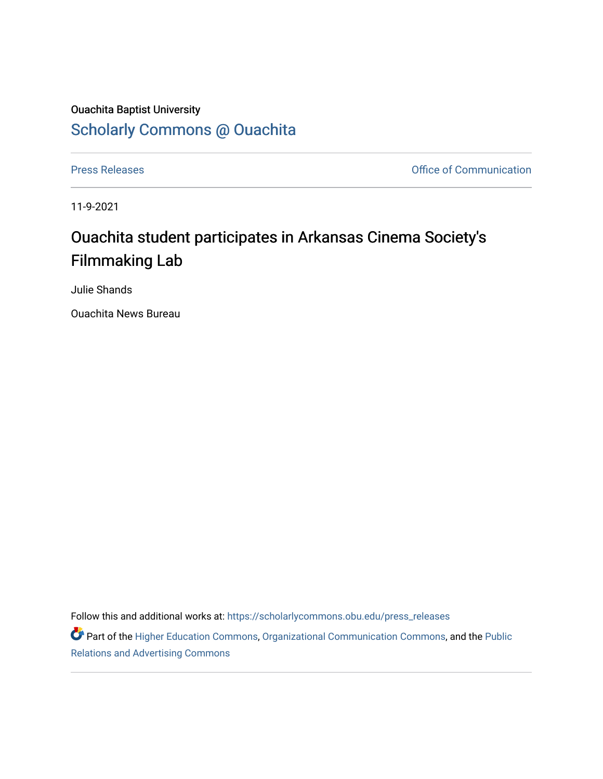## Ouachita Baptist University [Scholarly Commons @ Ouachita](https://scholarlycommons.obu.edu/)

[Press Releases](https://scholarlycommons.obu.edu/press_releases) **Press Releases Communication** 

11-9-2021

## Ouachita student participates in Arkansas Cinema Society's Filmmaking Lab

Julie Shands

Ouachita News Bureau

Follow this and additional works at: [https://scholarlycommons.obu.edu/press\\_releases](https://scholarlycommons.obu.edu/press_releases?utm_source=scholarlycommons.obu.edu%2Fpress_releases%2F904&utm_medium=PDF&utm_campaign=PDFCoverPages)

Part of the [Higher Education Commons,](http://network.bepress.com/hgg/discipline/1245?utm_source=scholarlycommons.obu.edu%2Fpress_releases%2F904&utm_medium=PDF&utm_campaign=PDFCoverPages) [Organizational Communication Commons,](http://network.bepress.com/hgg/discipline/335?utm_source=scholarlycommons.obu.edu%2Fpress_releases%2F904&utm_medium=PDF&utm_campaign=PDFCoverPages) and the [Public](http://network.bepress.com/hgg/discipline/336?utm_source=scholarlycommons.obu.edu%2Fpress_releases%2F904&utm_medium=PDF&utm_campaign=PDFCoverPages) [Relations and Advertising Commons](http://network.bepress.com/hgg/discipline/336?utm_source=scholarlycommons.obu.edu%2Fpress_releases%2F904&utm_medium=PDF&utm_campaign=PDFCoverPages)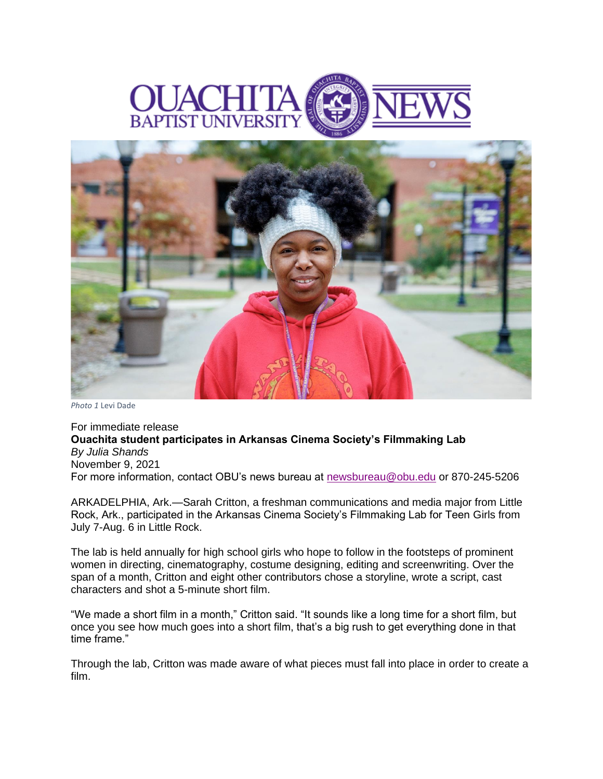



*Photo 1* Levi Dade

For immediate release **Ouachita student participates in Arkansas Cinema Society's Filmmaking Lab** *By Julia Shands* November 9, 2021 For more information, contact OBU's news bureau at [newsbureau@obu.edu](mailto:newsbureau@obu.edu) or 870-245-5206

ARKADELPHIA, Ark.—Sarah Critton, a freshman communications and media major from Little Rock, Ark., participated in the Arkansas Cinema Society's Filmmaking Lab for Teen Girls from July 7-Aug. 6 in Little Rock.

The lab is held annually for high school girls who hope to follow in the footsteps of prominent women in directing, cinematography, costume designing, editing and screenwriting. Over the span of a month, Critton and eight other contributors chose a storyline, wrote a script, cast characters and shot a 5-minute short film.

"We made a short film in a month," Critton said. "It sounds like a long time for a short film, but once you see how much goes into a short film, that's a big rush to get everything done in that time frame."

Through the lab, Critton was made aware of what pieces must fall into place in order to create a film.